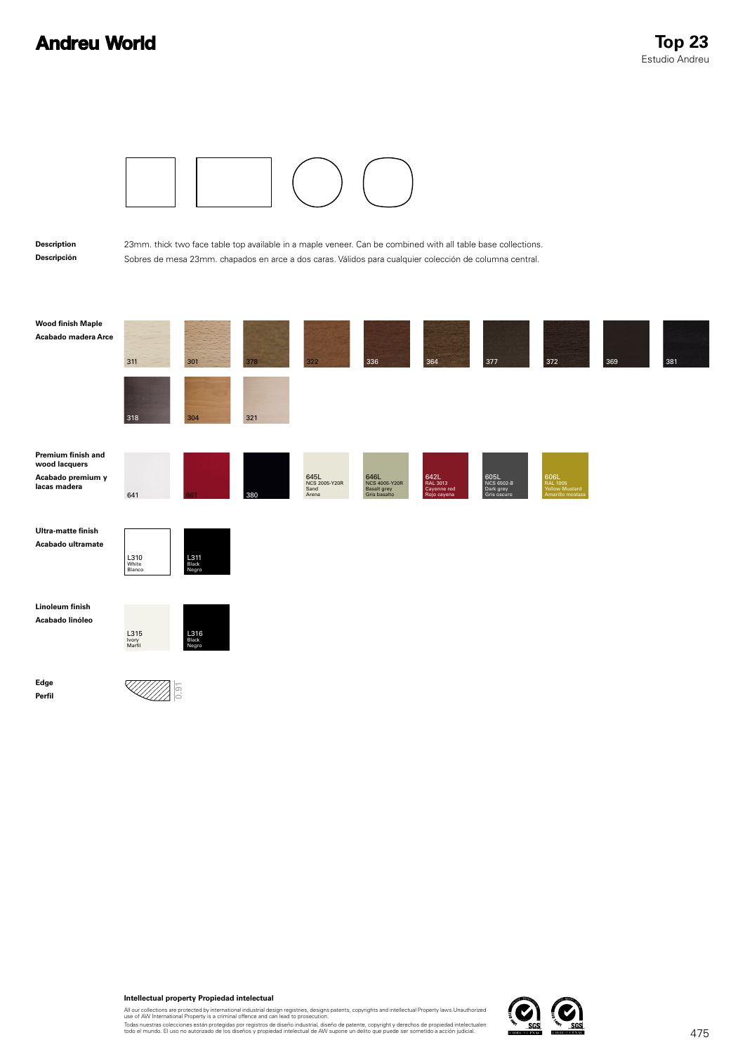## **Andreu World**



## **Intellectual property Propiedad intelectual**

All our collections are protected by international industrial design registries, designs patents, copyrights and intellectual Property laws.Unauthorized<br>use of AW International Property is a criminal offence and can lead t

Todas nuestras colecciones están protegidas por registros de diseño industrial, diseño de patente, copyright y derechos de propiedad intelectualen<br>todo el mundo. El uso no autorizado de los diseños y propiedad intelectual